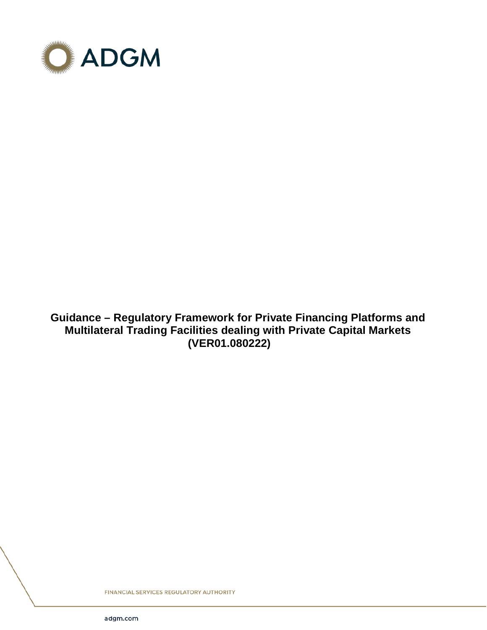

**Guidance – Regulatory Framework for Private Financing Platforms and Multilateral Trading Facilities dealing with Private Capital Markets (VER01.080222)**

FINANCIAL SERVICES REGULATORY AUTHORITY

adgm.com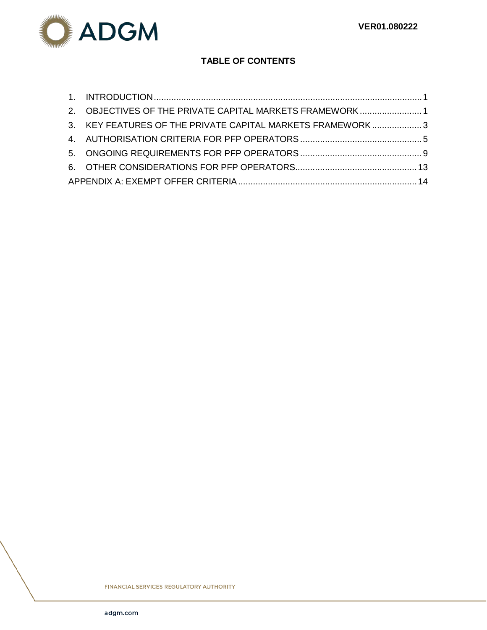

# **TABLE OF CONTENTS**

| 2. OBJECTIVES OF THE PRIVATE CAPITAL MARKETS FRAMEWORK1   |  |
|-----------------------------------------------------------|--|
| 3. KEY FEATURES OF THE PRIVATE CAPITAL MARKETS FRAMEWORK3 |  |
|                                                           |  |
|                                                           |  |
|                                                           |  |
|                                                           |  |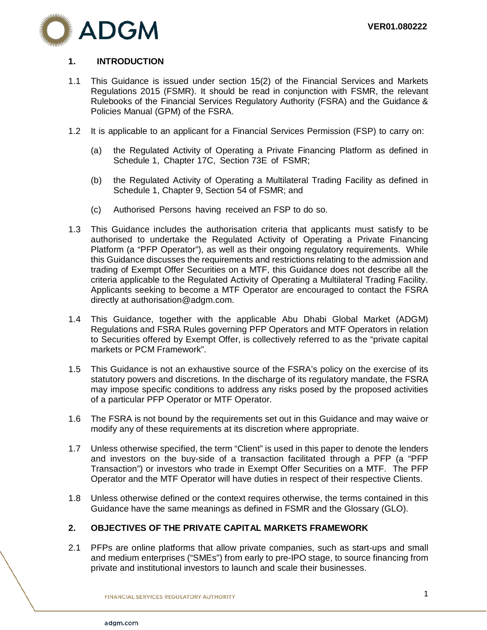

# <span id="page-2-0"></span>**1. INTRODUCTION**

- 1.1 This Guidance is issued under section 15(2) of the Financial Services and Markets Regulations 2015 (FSMR). It should be read in conjunction with FSMR, the relevant Rulebooks of the Financial Services Regulatory Authority (FSRA) and the Guidance & Policies Manual (GPM) of the FSRA.
- 1.2 It is applicable to an applicant for a Financial Services Permission (FSP) to carry on:
	- (a) the Regulated Activity of Operating a Private Financing Platform as defined in Schedule 1, Chapter 17C, Section 73E of FSMR;
	- (b) the Regulated Activity of Operating a Multilateral Trading Facility as defined in Schedule 1, Chapter 9, Section 54 of FSMR; and
	- (c) Authorised Persons having received an FSP to do so.
- 1.3 This Guidance includes the authorisation criteria that applicants must satisfy to be authorised to undertake the Regulated Activity of Operating a Private Financing Platform (a "PFP Operator"), as well as their ongoing regulatory requirements. While this Guidance discusses the requirements and restrictions relating to the admission and trading of Exempt Offer Securities on a MTF, this Guidance does not describe all the criteria applicable to the Regulated Activity of Operating a Multilateral Trading Facility. Applicants seeking to become a MTF Operator are encouraged to contact the FSRA directly at authorisation@adgm.com.
- 1.4 This Guidance, together with the applicable Abu Dhabi Global Market (ADGM) Regulations and FSRA Rules governing PFP Operators and MTF Operators in relation to Securities offered by Exempt Offer, is collectively referred to as the "private capital markets or PCM Framework".
- 1.5 This Guidance is not an exhaustive source of the FSRA's policy on the exercise of its statutory powers and discretions. In the discharge of its regulatory mandate, the FSRA may impose specific conditions to address any risks posed by the proposed activities of a particular PFP Operator or MTF Operator.
- 1.6 The FSRA is not bound by the requirements set out in this Guidance and may waive or modify any of these requirements at its discretion where appropriate.
- 1.7 Unless otherwise specified, the term "Client" is used in this paper to denote the lenders and investors on the buy-side of a transaction facilitated through a PFP (a "PFP Transaction") or investors who trade in Exempt Offer Securities on a MTF. The PFP Operator and the MTF Operator will have duties in respect of their respective Clients.
- 1.8 Unless otherwise defined or the context requires otherwise, the terms contained in this Guidance have the same meanings as defined in FSMR and the Glossary (GLO).

### <span id="page-2-1"></span>**2. OBJECTIVES OF THE PRIVATE CAPITAL MARKETS FRAMEWORK**

2.1 PFPs are online platforms that allow private companies, such as start-ups and small and medium enterprises ("SMEs") from early to pre-IPO stage, to source financing from private and institutional investors to launch and scale their businesses.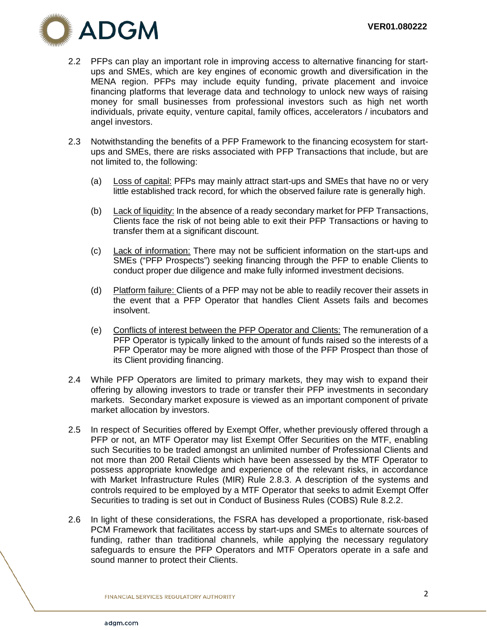

- 2.2 PFPs can play an important role in improving access to alternative financing for startups and SMEs, which are key engines of economic growth and diversification in the MENA region. PFPs may include equity funding, private placement and invoice financing platforms that leverage data and technology to unlock new ways of raising money for small businesses from professional investors such as high net worth individuals, private equity, venture capital, family offices, accelerators / incubators and angel investors.
- 2.3 Notwithstanding the benefits of a PFP Framework to the financing ecosystem for startups and SMEs, there are risks associated with PFP Transactions that include, but are not limited to, the following:
	- (a) Loss of capital: PFPs may mainly attract start-ups and SMEs that have no or very little established track record, for which the observed failure rate is generally high.
	- (b) Lack of liquidity: In the absence of a ready secondary market for PFP Transactions, Clients face the risk of not being able to exit their PFP Transactions or having to transfer them at a significant discount.
	- (c) Lack of information: There may not be sufficient information on the start-ups and SMEs ("PFP Prospects") seeking financing through the PFP to enable Clients to conduct proper due diligence and make fully informed investment decisions.
	- (d) Platform failure: Clients of a PFP may not be able to readily recover their assets in the event that a PFP Operator that handles Client Assets fails and becomes insolvent.
	- (e) Conflicts of interest between the PFP Operator and Clients: The remuneration of a PFP Operator is typically linked to the amount of funds raised so the interests of a PFP Operator may be more aligned with those of the PFP Prospect than those of its Client providing financing.
- 2.4 While PFP Operators are limited to primary markets, they may wish to expand their offering by allowing investors to trade or transfer their PFP investments in secondary markets. Secondary market exposure is viewed as an important component of private market allocation by investors.
- 2.5 In respect of Securities offered by Exempt Offer, whether previously offered through a PFP or not, an MTF Operator may list Exempt Offer Securities on the MTF, enabling such Securities to be traded amongst an unlimited number of Professional Clients and not more than 200 Retail Clients which have been assessed by the MTF Operator to possess appropriate knowledge and experience of the relevant risks, in accordance with Market Infrastructure Rules (MIR) Rule 2.8.3. A description of the systems and controls required to be employed by a MTF Operator that seeks to admit Exempt Offer Securities to trading is set out in Conduct of Business Rules (COBS) Rule 8.2.2.
- 2.6 In light of these considerations, the FSRA has developed a proportionate, risk-based PCM Framework that facilitates access by start-ups and SMEs to alternate sources of funding, rather than traditional channels, while applying the necessary regulatory safeguards to ensure the PFP Operators and MTF Operators operate in a safe and sound manner to protect their Clients.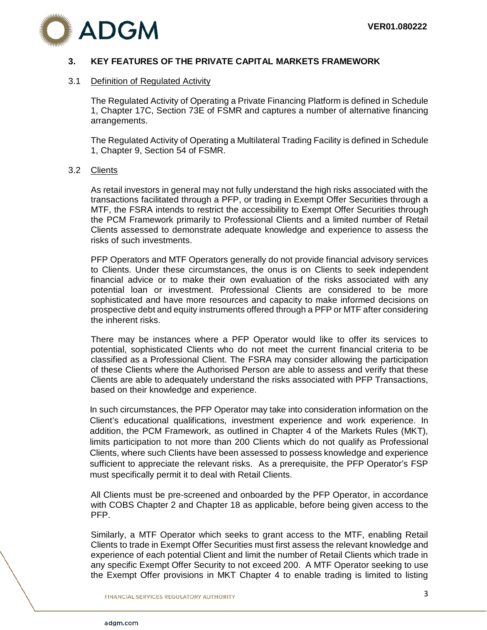

# <span id="page-4-0"></span>**3. KEY FEATURES OF THE PRIVATE CAPITAL MARKETS FRAMEWORK**

### 3.1 Definition of Regulated Activity

The Regulated Activity of Operating a Private Financing Platform is defined in Schedule 1, Chapter 17C, Section 73E of FSMR and captures a number of alternative financing arrangements.

The Regulated Activity of Operating a Multilateral Trading Facility is defined in Schedule 1, Chapter 9, Section 54 of FSMR.

### 3.2 Clients

As retail investors in general may not fully understand the high risks associated with the transactions facilitated through a PFP, or trading in Exempt Offer Securities through a MTF, the FSRA intends to restrict the accessibility to Exempt Offer Securities through the PCM Framework primarily to Professional Clients and a limited number of Retail Clients assessed to demonstrate adequate knowledge and experience to assess the risks of such investments.

PFP Operators and MTF Operators generally do not provide financial advisory services to Clients. Under these circumstances, the onus is on Clients to seek independent financial advice or to make their own evaluation of the risks associated with any potential loan or investment. Professional Clients are considered to be more sophisticated and have more resources and capacity to make informed decisions on prospective debt and equity instruments offered through a PFP or MTF after considering the inherent risks.

There may be instances where a PFP Operator would like to offer its services to potential, sophisticated Clients who do not meet the current financial criteria to be classified as a Professional Client. The FSRA may consider allowing the participation of these Clients where the Authorised Person are able to assess and verify that these Clients are able to adequately understand the risks associated with PFP Transactions, based on their knowledge and experience.

In such circumstances, the PFP Operator may take into consideration information on the Client's educational qualifications, investment experience and work experience. In addition, the PCM Framework, as outlined in Chapter 4 of the Markets Rules (MKT), limits participation to not more than 200 Clients which do not qualify as Professional Clients, where such Clients have been assessed to possess knowledge and experience sufficient to appreciate the relevant risks. As a prerequisite, the PFP Operator's FSP must specifically permit it to deal with Retail Clients.

All Clients must be pre-screened and onboarded by the PFP Operator, in accordance with COBS Chapter 2 and Chapter 18 as applicable, before being given access to the PFP.

Similarly, a MTF Operator which seeks to grant access to the MTF, enabling Retail Clients to trade in Exempt Offer Securities must first assess the relevant knowledge and experience of each potential Client and limit the number of Retail Clients which trade in any specific Exempt Offer Security to not exceed 200. A MTF Operator seeking to use the Exempt Offer provisions in MKT Chapter 4 to enable trading is limited to listing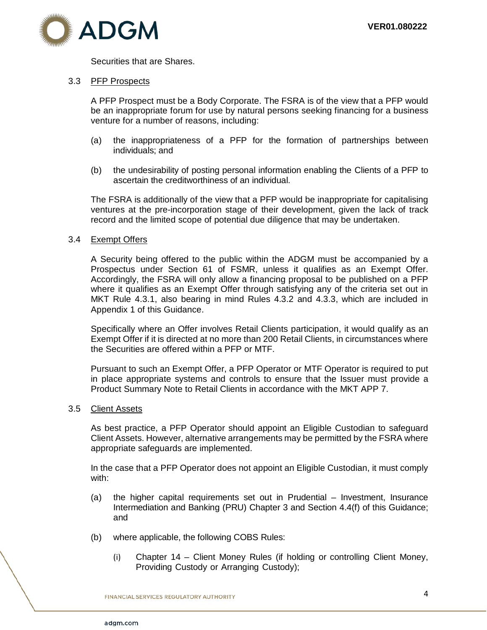Securities that are Shares.

#### 3.3 PFP Prospects

A PFP Prospect must be a Body Corporate. The FSRA is of the view that a PFP would be an inappropriate forum for use by natural persons seeking financing for a business venture for a number of reasons, including:

- (a) the inappropriateness of a PFP for the formation of partnerships between individuals; and
- (b) the undesirability of posting personal information enabling the Clients of a PFP to ascertain the creditworthiness of an individual.

The FSRA is additionally of the view that a PFP would be inappropriate for capitalising ventures at the pre-incorporation stage of their development, given the lack of track record and the limited scope of potential due diligence that may be undertaken.

#### 3.4 Exempt Offers

A Security being offered to the public within the ADGM must be accompanied by a Prospectus under Section 61 of FSMR, unless it qualifies as an Exempt Offer. Accordingly, the FSRA will only allow a financing proposal to be published on a PFP where it qualifies as an Exempt Offer through satisfying any of the criteria set out in MKT Rule 4.3.1, also bearing in mind Rules 4.3.2 and 4.3.3, which are included in Appendix 1 of this Guidance.

Specifically where an Offer involves Retail Clients participation, it would qualify as an Exempt Offer if it is directed at no more than 200 Retail Clients, in circumstances where the Securities are offered within a PFP or MTF.

Pursuant to such an Exempt Offer, a PFP Operator or MTF Operator is required to put in place appropriate systems and controls to ensure that the Issuer must provide a Product Summary Note to Retail Clients in accordance with the MKT APP 7.

#### 3.5 Client Assets

As best practice, a PFP Operator should appoint an Eligible Custodian to safeguard Client Assets. However, alternative arrangements may be permitted by the FSRA where appropriate safeguards are implemented.

In the case that a PFP Operator does not appoint an Eligible Custodian, it must comply with:

- (a) the higher capital requirements set out in Prudential Investment, Insurance Intermediation and Banking (PRU) Chapter 3 and Section 4.4(f) of this Guidance; and
- (b) where applicable, the following COBS Rules:
	- (i) Chapter 14 Client Money Rules (if holding or controlling Client Money, Providing Custody or Arranging Custody);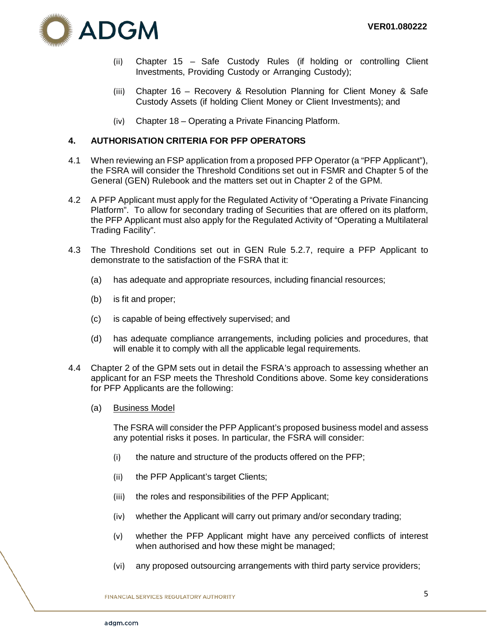

- (ii) Chapter 15 Safe Custody Rules (if holding or controlling Client Investments, Providing Custody or Arranging Custody);
- (iii) Chapter 16 Recovery & Resolution Planning for Client Money & Safe Custody Assets (if holding Client Money or Client Investments); and
- (iv) Chapter 18 Operating a Private Financing Platform.

### <span id="page-6-0"></span>**4. AUTHORISATION CRITERIA FOR PFP OPERATORS**

- 4.1 When reviewing an FSP application from a proposed PFP Operator (a "PFP Applicant"), the FSRA will consider the Threshold Conditions set out in FSMR and Chapter 5 of the General (GEN) Rulebook and the matters set out in Chapter 2 of the GPM.
- 4.2 A PFP Applicant must apply for the Regulated Activity of "Operating a Private Financing Platform". To allow for secondary trading of Securities that are offered on its platform, the PFP Applicant must also apply for the Regulated Activity of "Operating a Multilateral Trading Facility".
- 4.3 The Threshold Conditions set out in GEN Rule 5.2.7, require a PFP Applicant to demonstrate to the satisfaction of the FSRA that it:
	- (a) has adequate and appropriate resources, including financial resources;
	- (b) is fit and proper;
	- (c) is capable of being effectively supervised; and
	- (d) has adequate compliance arrangements, including policies and procedures, that will enable it to comply with all the applicable legal requirements.
- 4.4 Chapter 2 of the GPM sets out in detail the FSRA's approach to assessing whether an applicant for an FSP meets the Threshold Conditions above. Some key considerations for PFP Applicants are the following:
	- (a) Business Model

The FSRA will consider the PFP Applicant's proposed business model and assess any potential risks it poses. In particular, the FSRA will consider:

- (i) the nature and structure of the products offered on the PFP;
- (ii) the PFP Applicant's target Clients;
- (iii) the roles and responsibilities of the PFP Applicant;
- (iv) whether the Applicant will carry out primary and/or secondary trading;
- (v) whether the PFP Applicant might have any perceived conflicts of interest when authorised and how these might be managed;
- (vi) any proposed outsourcing arrangements with third party service providers;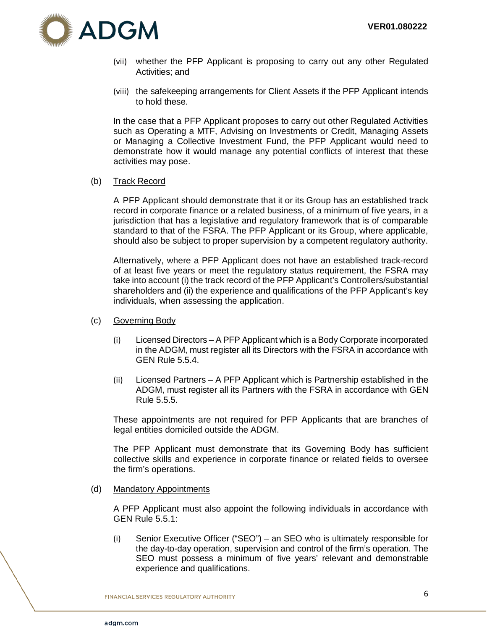

- (vii) whether the PFP Applicant is proposing to carry out any other Regulated Activities; and
- (viii) the safekeeping arrangements for Client Assets if the PFP Applicant intends to hold these.

In the case that a PFP Applicant proposes to carry out other Regulated Activities such as Operating a MTF, Advising on Investments or Credit, Managing Assets or Managing a Collective Investment Fund, the PFP Applicant would need to demonstrate how it would manage any potential conflicts of interest that these activities may pose.

### (b) Track Record

A PFP Applicant should demonstrate that it or its Group has an established track record in corporate finance or a related business, of a minimum of five years, in a jurisdiction that has a legislative and regulatory framework that is of comparable standard to that of the FSRA. The PFP Applicant or its Group, where applicable, should also be subject to proper supervision by a competent regulatory authority.

Alternatively, where a PFP Applicant does not have an established track-record of at least five years or meet the regulatory status requirement, the FSRA may take into account (i) the track record of the PFP Applicant's Controllers/substantial shareholders and (ii) the experience and qualifications of the PFP Applicant's key individuals, when assessing the application.

- (c) Governing Body
	- (i) Licensed Directors A PFP Applicant which is a Body Corporate incorporated in the ADGM, must register all its Directors with the FSRA in accordance with GEN Rule 5.5.4.
	- (ii) Licensed Partners A PFP Applicant which is Partnership established in the ADGM, must register all its Partners with the FSRA in accordance with GEN Rule 5.5.5.

These appointments are not required for PFP Applicants that are branches of legal entities domiciled outside the ADGM.

The PFP Applicant must demonstrate that its Governing Body has sufficient collective skills and experience in corporate finance or related fields to oversee the firm's operations.

(d) Mandatory Appointments

A PFP Applicant must also appoint the following individuals in accordance with GEN Rule 5.5.1:

(i) Senior Executive Officer ("SEO") – an SEO who is ultimately responsible for the day-to-day operation, supervision and control of the firm's operation. The SEO must possess a minimum of five years' relevant and demonstrable experience and qualifications.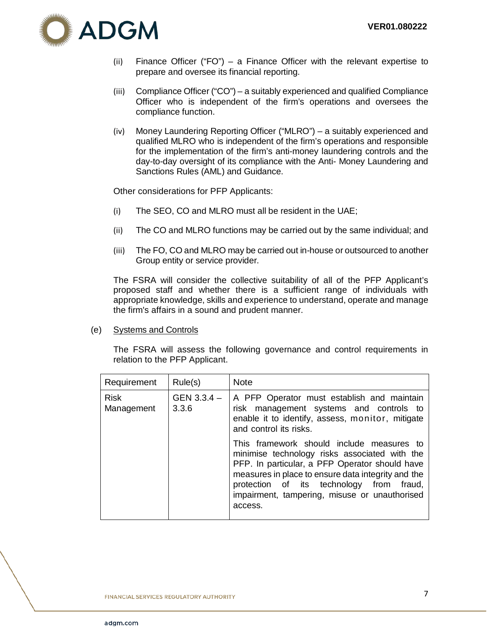

- (ii) Finance Officer ("FO") a Finance Officer with the relevant expertise to prepare and oversee its financial reporting.
- (iii) Compliance Officer ("CO") a suitably experienced and qualified Compliance Officer who is independent of the firm's operations and oversees the compliance function.
- (iv) Money Laundering Reporting Officer ("MLRO") a suitably experienced and qualified MLRO who is independent of the firm's operations and responsible for the implementation of the firm's anti-money laundering controls and the day-to-day oversight of its compliance with the Anti- Money Laundering and Sanctions Rules (AML) and Guidance.

Other considerations for PFP Applicants:

- (i) The SEO, CO and MLRO must all be resident in the UAE;
- (ii) The CO and MLRO functions may be carried out by the same individual; and
- (iii) The FO, CO and MLRO may be carried out in-house or outsourced to another Group entity or service provider.

The FSRA will consider the collective suitability of all of the PFP Applicant's proposed staff and whether there is a sufficient range of individuals with appropriate knowledge, skills and experience to understand, operate and manage the firm's affairs in a sound and prudent manner.

(e) Systems and Controls

The FSRA will assess the following governance and control requirements in relation to the PFP Applicant.

| Requirement               | Rule(s)                | <b>Note</b>                                                                                                                                                                                                                                                                                                |
|---------------------------|------------------------|------------------------------------------------------------------------------------------------------------------------------------------------------------------------------------------------------------------------------------------------------------------------------------------------------------|
| <b>Risk</b><br>Management | $GEN 3.3.4 -$<br>3.3.6 | A PFP Operator must establish and maintain<br>risk management systems and controls to<br>enable it to identify, assess, monitor, mitigate<br>and control its risks.                                                                                                                                        |
|                           |                        | This framework should include measures to<br>minimise technology risks associated with the<br>PFP. In particular, a PFP Operator should have<br>measures in place to ensure data integrity and the<br>protection of its technology from fraud,<br>impairment, tampering, misuse or unauthorised<br>access. |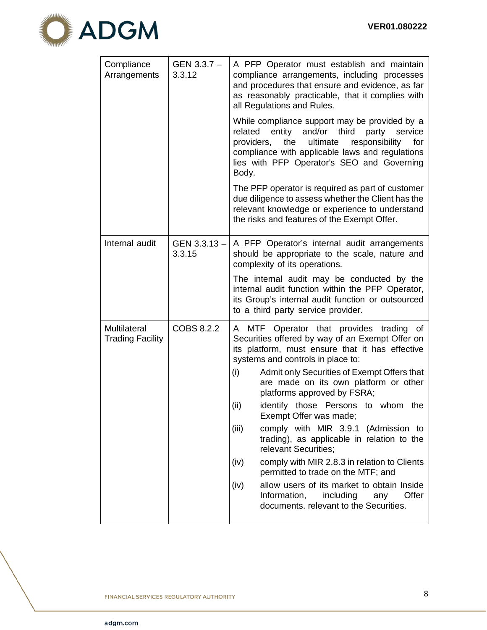

| Compliance<br>Arrangements                     | GEN 3.3.7 -<br>3.3.12  | A PFP Operator must establish and maintain<br>compliance arrangements, including processes<br>and procedures that ensure and evidence, as far<br>as reasonably practicable, that it complies with<br>all Regulations and Rules.                                                                                     |  |
|------------------------------------------------|------------------------|---------------------------------------------------------------------------------------------------------------------------------------------------------------------------------------------------------------------------------------------------------------------------------------------------------------------|--|
|                                                |                        | While compliance support may be provided by a<br>entity<br>and/or third<br>party<br>related<br>service<br>the<br>ultimate<br>responsibility<br>providers,<br>for<br>compliance with applicable laws and regulations<br>lies with PFP Operator's SEO and Governing<br>Body.                                          |  |
|                                                |                        | The PFP operator is required as part of customer<br>due diligence to assess whether the Client has the<br>relevant knowledge or experience to understand<br>the risks and features of the Exempt Offer.                                                                                                             |  |
| Internal audit                                 | GEN 3.3.13 -<br>3.3.15 | A PFP Operator's internal audit arrangements<br>should be appropriate to the scale, nature and<br>complexity of its operations.                                                                                                                                                                                     |  |
|                                                |                        | The internal audit may be conducted by the<br>internal audit function within the PFP Operator,<br>its Group's internal audit function or outsourced<br>to a third party service provider.                                                                                                                           |  |
| <b>Multilateral</b><br><b>Trading Facility</b> | COBS 8.2.2             | A MTF Operator that provides trading<br>οf<br>Securities offered by way of an Exempt Offer on<br>its platform, must ensure that it has effective<br>systems and controls in place to:<br>(i)<br>Admit only Securities of Exempt Offers that<br>are made on its own platform or other<br>platforms approved by FSRA; |  |
|                                                |                        | identify those Persons to whom<br>(ii)<br>the<br>Exempt Offer was made;                                                                                                                                                                                                                                             |  |
|                                                |                        | (iii)<br>comply with MIR 3.9.1 (Admission to<br>trading), as applicable in relation to the<br>relevant Securities;                                                                                                                                                                                                  |  |
|                                                |                        | comply with MIR 2.8.3 in relation to Clients<br>(iv)<br>permitted to trade on the MTF; and                                                                                                                                                                                                                          |  |
|                                                |                        | allow users of its market to obtain Inside<br>(iv)<br>Offer<br>Information,<br>including<br>any<br>documents. relevant to the Securities.                                                                                                                                                                           |  |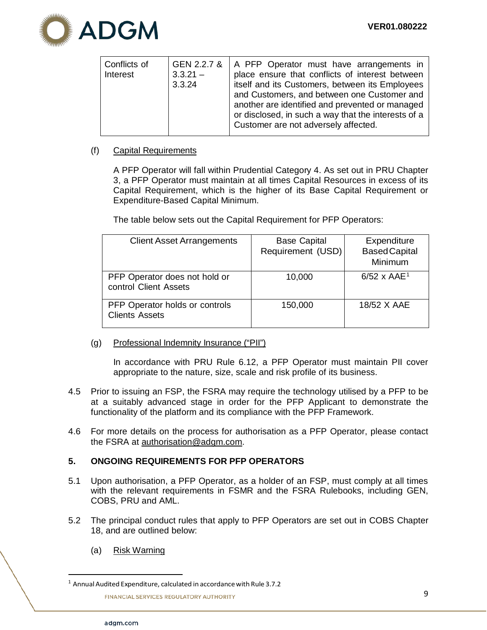

| Conflicts of<br>Interest | GEN 2.2.7 &<br>$3.3.21 -$<br>3.3.24 | A PFP Operator must have arrangements in<br>place ensure that conflicts of interest between<br>itself and its Customers, between its Employees<br>and Customers, and between one Customer and<br>another are identified and prevented or managed<br>or disclosed, in such a way that the interests of a<br>Customer are not adversely affected. |
|--------------------------|-------------------------------------|-------------------------------------------------------------------------------------------------------------------------------------------------------------------------------------------------------------------------------------------------------------------------------------------------------------------------------------------------|
|--------------------------|-------------------------------------|-------------------------------------------------------------------------------------------------------------------------------------------------------------------------------------------------------------------------------------------------------------------------------------------------------------------------------------------------|

# (f) Capital Requirements

A PFP Operator will fall within Prudential Category 4. As set out in PRU Chapter 3, a PFP Operator must maintain at all times Capital Resources in excess of its Capital Requirement, which is the higher of its Base Capital Requirement or Expenditure-Based Capital Minimum.

The table below sets out the Capital Requirement for PFP Operators:

| <b>Client Asset Arrangements</b>                        | <b>Base Capital</b><br>Requirement (USD) | Expenditure<br><b>Based Capital</b><br>Minimum |
|---------------------------------------------------------|------------------------------------------|------------------------------------------------|
| PFP Operator does not hold or<br>control Client Assets  | 10,000                                   | $6/52 \times AAE1$                             |
| PFP Operator holds or controls<br><b>Clients Assets</b> | 150,000                                  | 18/52 X AAE                                    |

(g) Professional Indemnity Insurance ("PII")

In accordance with PRU Rule 6.12, a PFP Operator must maintain PII cover appropriate to the nature, size, scale and risk profile of its business.

- 4.5 Prior to issuing an FSP, the FSRA may require the technology utilised by a PFP to be at a suitably advanced stage in order for the PFP Applicant to demonstrate the functionality of the platform and its compliance with the PFP Framework.
- 4.6 For more details on the process for authorisation as a PFP Operator, please contact the FSRA at [authorisation@adgm.com.](mailto:authorisation@adgm.com)

# <span id="page-10-0"></span>**5. ONGOING REQUIREMENTS FOR PFP OPERATORS**

- 5.1 Upon authorisation, a PFP Operator, as a holder of an FSP, must comply at all times with the relevant requirements in FSMR and the FSRA Rulebooks, including GEN, COBS, PRU and AML.
- 5.2 The principal conduct rules that apply to PFP Operators are set out in COBS Chapter 18, and are outlined below:
	- (a) Risk Warning

<span id="page-10-1"></span> $1$  Annual Audited Expenditure, calculated in accordance with Rule 3.7.2

**FINANCIAL SERVICES REGULATORY AUTHORITY**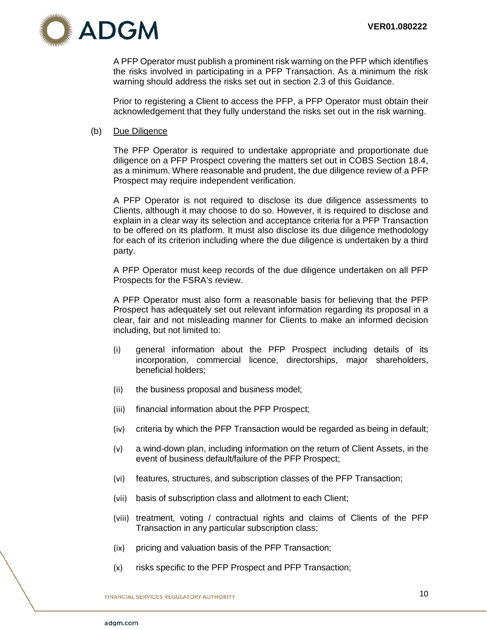

A PFP Operator must publish a prominent risk warning on the PFP which identifies the risks involved in participating in a PFP Transaction. As a minimum the risk warning should address the risks set out in section 2.3 of this Guidance.

Prior to registering a Client to access the PFP, a PFP Operator must obtain their acknowledgement that they fully understand the risks set out in the risk warning.

#### (b) Due Diligence

The PFP Operator is required to undertake appropriate and proportionate due diligence on a PFP Prospect covering the matters set out in COBS Section 18.4, as a minimum. Where reasonable and prudent, the due diligence review of a PFP Prospect may require independent verification.

A PFP Operator is not required to disclose its due diligence assessments to Clients, although it may choose to do so. However, it is required to disclose and explain in a clear way its selection and acceptance criteria for a PFP Transaction to be offered on its platform. It must also disclose its due diligence methodology for each of its criterion including where the due diligence is undertaken by a third party.

A PFP Operator must keep records of the due diligence undertaken on all PFP Prospects for the FSRA's review.

A PFP Operator must also form a reasonable basis for believing that the PFP Prospect has adequately set out relevant information regarding its proposal in a clear, fair and not misleading manner for Clients to make an informed decision including, but not limited to:

- (i) general information about the PFP Prospect including details of its incorporation, commercial licence, directorships, major shareholders, beneficial holders;
- (ii) the business proposal and business model;
- (iii) financial information about the PFP Prospect;
- (iv) criteria by which the PFP Transaction would be regarded as being in default;
- (v) a wind-down plan, including information on the return of Client Assets, in the event of business default/failure of the PFP Prospect;
- (vi) features, structures, and subscription classes of the PFP Transaction;
- (vii) basis of subscription class and allotment to each Client;
- (viii) treatment, voting / contractual rights and claims of Clients of the PFP Transaction in any particular subscription class;
- (ix) pricing and valuation basis of the PFP Transaction;
- (x) risks specific to the PFP Prospect and PFP Transaction;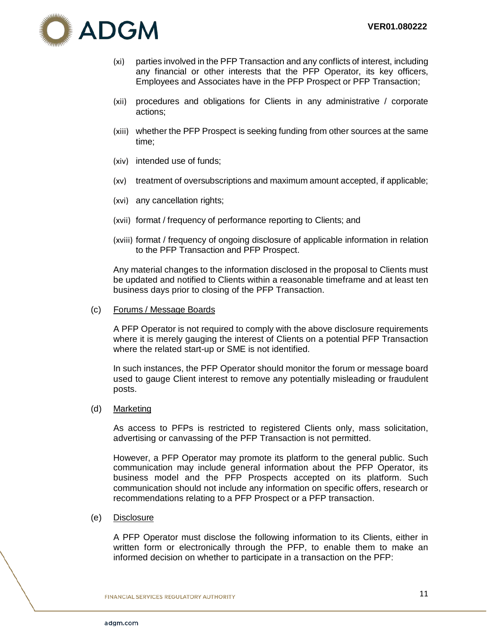

- (xi) parties involved in the PFP Transaction and any conflicts of interest, including any financial or other interests that the PFP Operator, its key officers, Employees and Associates have in the PFP Prospect or PFP Transaction;
- (xii) procedures and obligations for Clients in any administrative / corporate actions;
- (xiii) whether the PFP Prospect is seeking funding from other sources at the same time;
- (xiv) intended use of funds;
- (xv) treatment of oversubscriptions and maximum amount accepted, if applicable;
- (xvi) any cancellation rights;
- (xvii) format / frequency of performance reporting to Clients; and
- (xviii) format / frequency of ongoing disclosure of applicable information in relation to the PFP Transaction and PFP Prospect.

Any material changes to the information disclosed in the proposal to Clients must be updated and notified to Clients within a reasonable timeframe and at least ten business days prior to closing of the PFP Transaction.

(c) Forums / Message Boards

A PFP Operator is not required to comply with the above disclosure requirements where it is merely gauging the interest of Clients on a potential PFP Transaction where the related start-up or SME is not identified.

In such instances, the PFP Operator should monitor the forum or message board used to gauge Client interest to remove any potentially misleading or fraudulent posts.

(d) Marketing

As access to PFPs is restricted to registered Clients only, mass solicitation, advertising or canvassing of the PFP Transaction is not permitted.

However, a PFP Operator may promote its platform to the general public. Such communication may include general information about the PFP Operator, its business model and the PFP Prospects accepted on its platform. Such communication should not include any information on specific offers, research or recommendations relating to a PFP Prospect or a PFP transaction.

(e) Disclosure

A PFP Operator must disclose the following information to its Clients, either in written form or electronically through the PFP, to enable them to make an informed decision on whether to participate in a transaction on the PFP: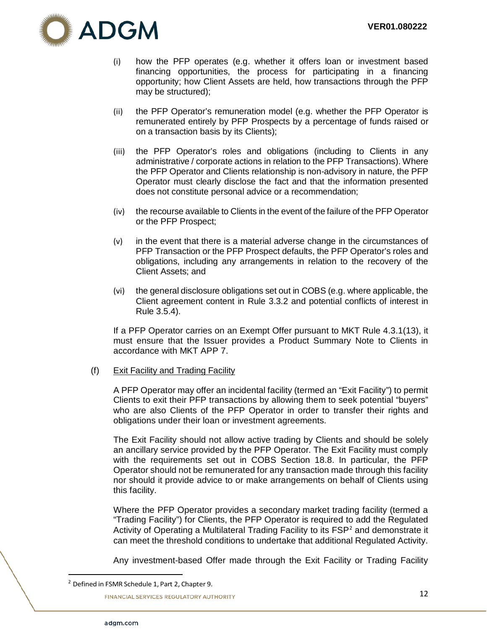

- (i) how the PFP operates (e.g. whether it offers loan or investment based financing opportunities, the process for participating in a financing opportunity; how Client Assets are held, how transactions through the PFP may be structured);
- (ii) the PFP Operator's remuneration model (e.g. whether the PFP Operator is remunerated entirely by PFP Prospects by a percentage of funds raised or on a transaction basis by its Clients);
- (iii) the PFP Operator's roles and obligations (including to Clients in any administrative / corporate actions in relation to the PFP Transactions). Where the PFP Operator and Clients relationship is non-advisory in nature, the PFP Operator must clearly disclose the fact and that the information presented does not constitute personal advice or a recommendation;
- (iv) the recourse available to Clients in the event of the failure of the PFP Operator or the PFP Prospect;
- (v) in the event that there is a material adverse change in the circumstances of PFP Transaction or the PFP Prospect defaults, the PFP Operator's roles and obligations, including any arrangements in relation to the recovery of the Client Assets; and
- (vi) the general disclosure obligations set out in COBS (e.g. where applicable, the Client agreement content in Rule 3.3.2 and potential conflicts of interest in Rule 3.5.4).

If a PFP Operator carries on an Exempt Offer pursuant to MKT Rule 4.3.1(13), it must ensure that the Issuer provides a Product Summary Note to Clients in accordance with MKT APP 7.

### (f) Exit Facility and Trading Facility

A PFP Operator may offer an incidental facility (termed an "Exit Facility") to permit Clients to exit their PFP transactions by allowing them to seek potential "buyers" who are also Clients of the PFP Operator in order to transfer their rights and obligations under their loan or investment agreements.

The Exit Facility should not allow active trading by Clients and should be solely an ancillary service provided by the PFP Operator. The Exit Facility must comply with the requirements set out in COBS Section 18.8. In particular, the PFP Operator should not be remunerated for any transaction made through this facility nor should it provide advice to or make arrangements on behalf of Clients using this facility.

Where the PFP Operator provides a secondary market trading facility (termed a "Trading Facility") for Clients, the PFP Operator is required to add the Regulated Activity of Operating a Multilateral Trading Facility to its FSP<sup>[2](#page-13-0)</sup> and demonstrate it can meet the threshold conditions to undertake that additional Regulated Activity.

Any investment-based Offer made through the Exit Facility or Trading Facility

<span id="page-13-0"></span> $2$  Defined in FSMR Schedule 1, Part 2, Chapter 9.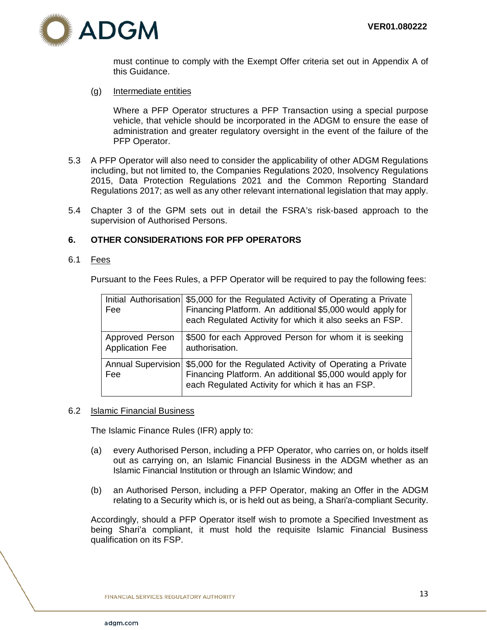

must continue to comply with the Exempt Offer criteria set out in Appendix A of this Guidance.

(g) Intermediate entities

Where a PFP Operator structures a PFP Transaction using a special purpose vehicle, that vehicle should be incorporated in the ADGM to ensure the ease of administration and greater regulatory oversight in the event of the failure of the PFP Operator.

- 5.3 A PFP Operator will also need to consider the applicability of other ADGM Regulations including, but not limited to, the Companies Regulations 2020, Insolvency Regulations 2015, Data Protection Regulations 2021 and the Common Reporting Standard Regulations 2017; as well as any other relevant international legislation that may apply.
- 5.4 Chapter 3 of the GPM sets out in detail the FSRA's risk-based approach to the supervision of Authorised Persons.

### <span id="page-14-0"></span>**6. OTHER CONSIDERATIONS FOR PFP OPERATORS**

#### 6.1 Fees

Pursuant to the Fees Rules, a PFP Operator will be required to pay the following fees:

| Fee                                       | Initial Authorisation \$5,000 for the Regulated Activity of Operating a Private<br>Financing Platform. An additional \$5,000 would apply for<br>each Regulated Activity for which it also seeks an FSP. |
|-------------------------------------------|---------------------------------------------------------------------------------------------------------------------------------------------------------------------------------------------------------|
| Approved Person<br><b>Application Fee</b> | \$500 for each Approved Person for whom it is seeking<br>authorisation.                                                                                                                                 |
| Annual Supervision<br>Fee                 | \$5,000 for the Regulated Activity of Operating a Private<br>Financing Platform. An additional \$5,000 would apply for<br>each Regulated Activity for which it has an FSP.                              |

#### 6.2 Islamic Financial Business

The Islamic Finance Rules (IFR) apply to:

- (a) every Authorised Person, including a PFP Operator, who carries on, or holds itself out as carrying on, an Islamic Financial Business in the ADGM whether as an Islamic Financial Institution or through an Islamic Window; and
- (b) an Authorised Person, including a PFP Operator, making an Offer in the ADGM relating to a Security which is, or is held out as being, a Shari'a-compliant Security.

Accordingly, should a PFP Operator itself wish to promote a Specified Investment as being Shari'a compliant, it must hold the requisite Islamic Financial Business qualification on its FSP.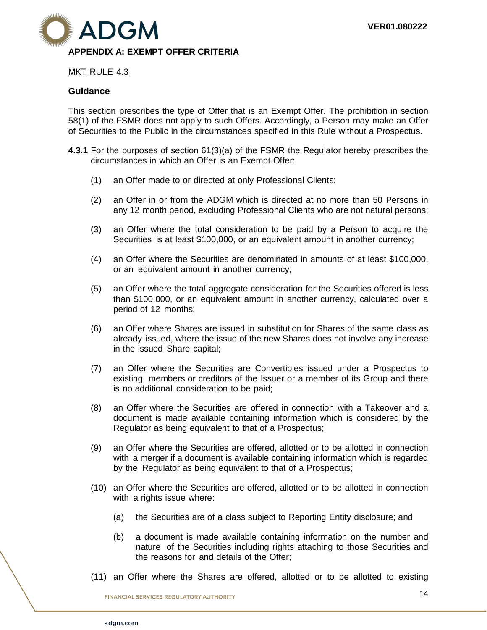

# <span id="page-15-0"></span>MKT RULE 4.3

#### **Guidance**

This section prescribes the type of Offer that is an Exempt Offer. The prohibition in section 58(1) of the FSMR does not apply to such Offers. Accordingly, a Person may make an Offer of Securities to the Public in the circumstances specified in this Rule without a Prospectus.

- **4.3.1** For the purposes of section 61(3)(a) of the FSMR the Regulator hereby prescribes the circumstances in which an Offer is an Exempt Offer:
	- (1) an Offer made to or directed at only Professional Clients;
	- (2) an Offer in or from the ADGM which is directed at no more than 50 Persons in any 12 month period, excluding Professional Clients who are not natural persons;
	- (3) an Offer where the total consideration to be paid by a Person to acquire the Securities is at least \$100,000, or an equivalent amount in another currency;
	- (4) an Offer where the Securities are denominated in amounts of at least \$100,000, or an equivalent amount in another currency;
	- (5) an Offer where the total aggregate consideration for the Securities offered is less than \$100,000, or an equivalent amount in another currency, calculated over a period of 12 months;
	- (6) an Offer where Shares are issued in substitution for Shares of the same class as already issued, where the issue of the new Shares does not involve any increase in the issued Share capital;
	- (7) an Offer where the Securities are Convertibles issued under a Prospectus to existing members or creditors of the Issuer or a member of its Group and there is no additional consideration to be paid;
	- (8) an Offer where the Securities are offered in connection with a Takeover and a document is made available containing information which is considered by the Regulator as being equivalent to that of a Prospectus;
	- (9) an Offer where the Securities are offered, allotted or to be allotted in connection with a merger if a document is available containing information which is regarded by the Regulator as being equivalent to that of a Prospectus;
	- (10) an Offer where the Securities are offered, allotted or to be allotted in connection with a rights issue where:
		- (a) the Securities are of a class subject to Reporting Entity disclosure; and
		- (b) a document is made available containing information on the number and nature of the Securities including rights attaching to those Securities and the reasons for and details of the Offer;
	- (11) an Offer where the Shares are offered, allotted or to be allotted to existing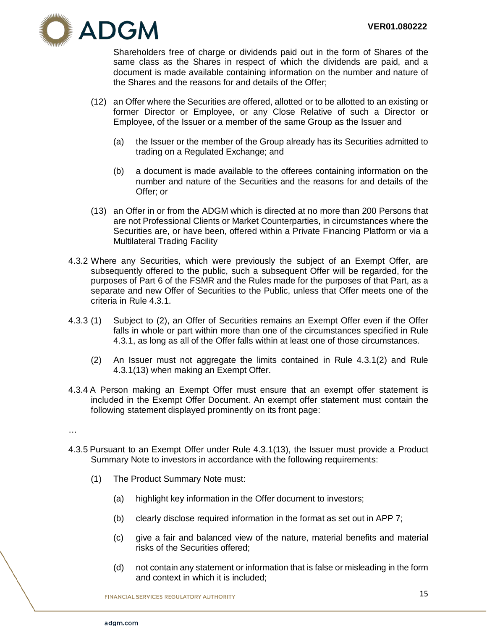

Shareholders free of charge or dividends paid out in the form of Shares of the same class as the Shares in respect of which the dividends are paid, and a document is made available containing information on the number and nature of the Shares and the reasons for and details of the Offer;

- (12) an Offer where the Securities are offered, allotted or to be allotted to an existing or former Director or Employee, or any Close Relative of such a Director or Employee, of the Issuer or a member of the same Group as the Issuer and
	- (a) the Issuer or the member of the Group already has its Securities admitted to trading on a Regulated Exchange; and
	- (b) a document is made available to the offerees containing information on the number and nature of the Securities and the reasons for and details of the Offer; or
- (13) an Offer in or from the ADGM which is directed at no more than 200 Persons that are not Professional Clients or Market Counterparties, in circumstances where the Securities are, or have been, offered within a Private Financing Platform or via a Multilateral Trading Facility
- 4.3.2 Where any Securities, which were previously the subject of an Exempt Offer, are subsequently offered to the public, such a subsequent Offer will be regarded, for the purposes of Part 6 of the FSMR and the Rules made for the purposes of that Part, as a separate and new Offer of Securities to the Public, unless that Offer meets one of the criteria in Rule 4.3.1.
- 4.3.3 (1) Subject to (2), an Offer of Securities remains an Exempt Offer even if the Offer falls in whole or part within more than one of the circumstances specified in Rule 4.3.1, as long as all of the Offer falls within at least one of those circumstances.
	- (2) An Issuer must not aggregate the limits contained in Rule 4.3.1(2) and Rule 4.3.1(13) when making an Exempt Offer.
- 4.3.4 A Person making an Exempt Offer must ensure that an exempt offer statement is included in the Exempt Offer Document. An exempt offer statement must contain the following statement displayed prominently on its front page:
- …
- 4.3.5 Pursuant to an Exempt Offer under Rule 4.3.1(13), the Issuer must provide a Product Summary Note to investors in accordance with the following requirements:
	- (1) The Product Summary Note must:
		- (a) highlight key information in the Offer document to investors;
		- (b) clearly disclose required information in the format as set out in APP 7;
		- (c) give a fair and balanced view of the nature, material benefits and material risks of the Securities offered;
		- (d) not contain any statement or information that is false or misleading in the form and context in which it is included;